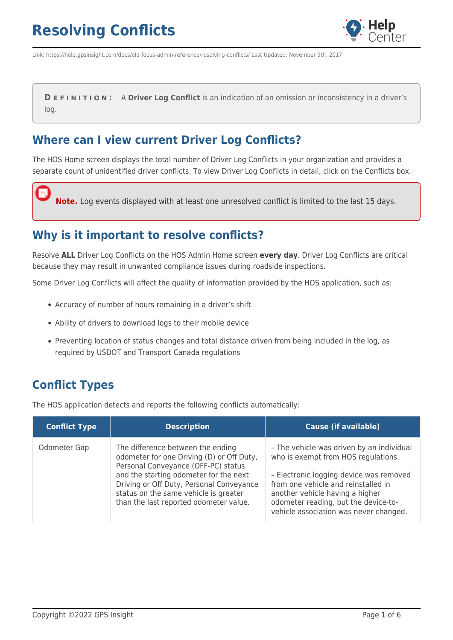

Link: https://help.gpsinsight.com/docs/eld-focus-admin-reference/resolving-conflicts/ Last Updated: November 9th, 2017

**D E F I N I T I O N :** A **Driver Log Conflict** is an indication of an omission or inconsistency in a driver's log.

### **Where can I view current Driver Log Conflicts?**

The HOS Home screen displays the total number of Driver Log Conflicts in your organization and provides a separate count of unidentified driver conflicts. To view Driver Log Conflicts in detail, click on the Conflicts box.

**Note.** Log events displayed with at least one unresolved conflict is limited to the last 15 days.

### **Why is it important to resolve conflicts?**

Resolve **ALL** Driver Log Conflicts on the HOS Admin Home screen **every day**. Driver Log Conflicts are critical because they may result in unwanted compliance issues during roadside inspections.

Some Driver Log Conflicts will affect the quality of information provided by the HOS application, such as:

- Accuracy of number of hours remaining in a driver's shift
- Ability of drivers to download logs to their mobile device
- Preventing location of status changes and total distance driven from being included in the log, as required by USDOT and Transport Canada regulations

## **Conflict Types**

The HOS application detects and reports the following conflicts automatically:

| <b>Conflict Type</b> | <b>Description</b>                                                                                                                                                                                                                                                                             | <b>Cause (if available)</b>                                                                                                                                                                                                                                                             |
|----------------------|------------------------------------------------------------------------------------------------------------------------------------------------------------------------------------------------------------------------------------------------------------------------------------------------|-----------------------------------------------------------------------------------------------------------------------------------------------------------------------------------------------------------------------------------------------------------------------------------------|
| Odometer Gap         | The difference between the ending<br>odometer for one Driving (D) or Off Duty,<br>Personal Conveyance (OFF-PC) status<br>and the starting odometer for the next<br>Driving or Off Duty, Personal Conveyance<br>status on the same vehicle is greater<br>than the last reported odometer value. | - The vehicle was driven by an individual<br>who is exempt from HOS regulations.<br>- Electronic logging device was removed<br>from one vehicle and reinstalled in<br>another vehicle having a higher<br>odometer reading, but the device-to-<br>vehicle association was never changed. |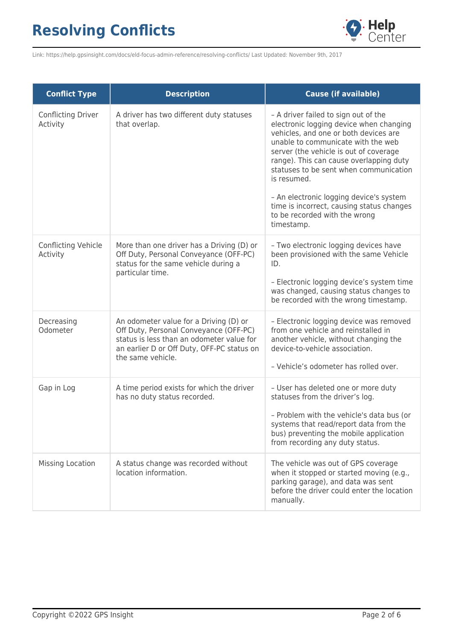

Link: https://help.gpsinsight.com/docs/eld-focus-admin-reference/resolving-conflicts/ Last Updated: November 9th, 2017

| <b>Conflict Type</b>            | <b>Description</b>                                                                                                                                                                               | <b>Cause (if available)</b>                                                                                                                                                                                                                                                                                                                                                                                                                         |
|---------------------------------|--------------------------------------------------------------------------------------------------------------------------------------------------------------------------------------------------|-----------------------------------------------------------------------------------------------------------------------------------------------------------------------------------------------------------------------------------------------------------------------------------------------------------------------------------------------------------------------------------------------------------------------------------------------------|
| Conflicting Driver<br>Activity  | A driver has two different duty statuses<br>that overlap.                                                                                                                                        | - A driver failed to sign out of the<br>electronic logging device when changing<br>vehicles, and one or both devices are<br>unable to communicate with the web<br>server (the vehicle is out of coverage<br>range). This can cause overlapping duty<br>statuses to be sent when communication<br>is resumed.<br>- An electronic logging device's system<br>time is incorrect, causing status changes<br>to be recorded with the wrong<br>timestamp. |
| Conflicting Vehicle<br>Activity | More than one driver has a Driving (D) or<br>Off Duty, Personal Conveyance (OFF-PC)<br>status for the same vehicle during a<br>particular time.                                                  | - Two electronic logging devices have<br>been provisioned with the same Vehicle<br>ID.<br>- Electronic logging device's system time<br>was changed, causing status changes to<br>be recorded with the wrong timestamp.                                                                                                                                                                                                                              |
| Decreasing<br>Odometer          | An odometer value for a Driving (D) or<br>Off Duty, Personal Conveyance (OFF-PC)<br>status is less than an odometer value for<br>an earlier D or Off Duty, OFF-PC status on<br>the same vehicle. | - Electronic logging device was removed<br>from one vehicle and reinstalled in<br>another vehicle, without changing the<br>device-to-vehicle association.<br>- Vehicle's odometer has rolled over.                                                                                                                                                                                                                                                  |
| Gap in Log                      | A time period exists for which the driver<br>has no duty status recorded.                                                                                                                        | - User has deleted one or more duty<br>statuses from the driver's log.<br>- Problem with the vehicle's data bus (or<br>systems that read/report data from the<br>bus) preventing the mobile application<br>from recording any duty status.                                                                                                                                                                                                          |
| Missing Location                | A status change was recorded without<br>location information.                                                                                                                                    | The vehicle was out of GPS coverage<br>when it stopped or started moving (e.g.,<br>parking garage), and data was sent<br>before the driver could enter the location<br>manually.                                                                                                                                                                                                                                                                    |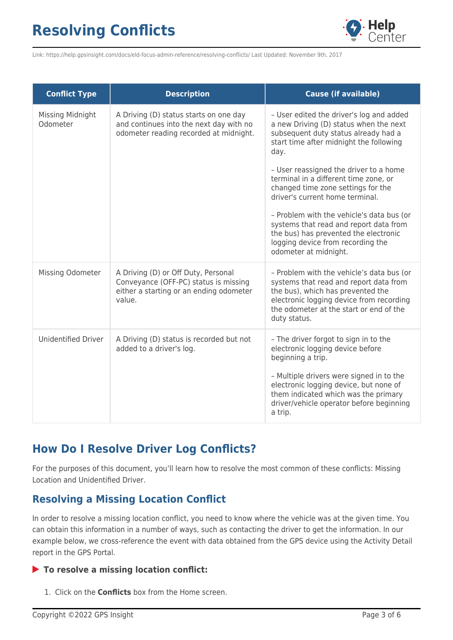

Link: https://help.gpsinsight.com/docs/eld-focus-admin-reference/resolving-conflicts/ Last Updated: November 9th, 2017

| <b>Conflict Type</b>         | <b>Description</b>                                                                                                                | <b>Cause (if available)</b>                                                                                                                                                                                                                                                         |
|------------------------------|-----------------------------------------------------------------------------------------------------------------------------------|-------------------------------------------------------------------------------------------------------------------------------------------------------------------------------------------------------------------------------------------------------------------------------------|
| Missing Midnight<br>Odometer | A Driving (D) status starts on one day<br>and continues into the next day with no<br>odometer reading recorded at midnight.       | - User edited the driver's log and added<br>a new Driving (D) status when the next<br>subsequent duty status already had a<br>start time after midnight the following<br>day.                                                                                                       |
|                              |                                                                                                                                   | - User reassigned the driver to a home<br>terminal in a different time zone, or<br>changed time zone settings for the<br>driver's current home terminal.                                                                                                                            |
|                              |                                                                                                                                   | - Problem with the vehicle's data bus (or<br>systems that read and report data from<br>the bus) has prevented the electronic<br>logging device from recording the<br>odometer at midnight.                                                                                          |
| Missing Odometer             | A Driving (D) or Off Duty, Personal<br>Conveyance (OFF-PC) status is missing<br>either a starting or an ending odometer<br>value. | - Problem with the vehicle's data bus (or<br>systems that read and report data from<br>the bus), which has prevented the<br>electronic logging device from recording<br>the odometer at the start or end of the<br>duty status.                                                     |
| <b>Unidentified Driver</b>   | A Driving (D) status is recorded but not<br>added to a driver's log.                                                              | - The driver forgot to sign in to the<br>electronic logging device before<br>beginning a trip.<br>- Multiple drivers were signed in to the<br>electronic logging device, but none of<br>them indicated which was the primary<br>driver/vehicle operator before beginning<br>a trip. |

## **How Do I Resolve Driver Log Conflicts?**

For the purposes of this document, you'll learn how to resolve the most common of these conflicts: Missing Location and Unidentified Driver.

### **Resolving a Missing Location Conflict**

In order to resolve a missing location conflict, you need to know where the vehicle was at the given time. You can obtain this information in a number of ways, such as contacting the driver to get the information. In our example below, we cross-reference the event with data obtained from the GPS device using the Activity Detail report in the GPS Portal.

### **To resolve a missing location conflict:**

1. Click on the **Conflicts** box from the Home screen.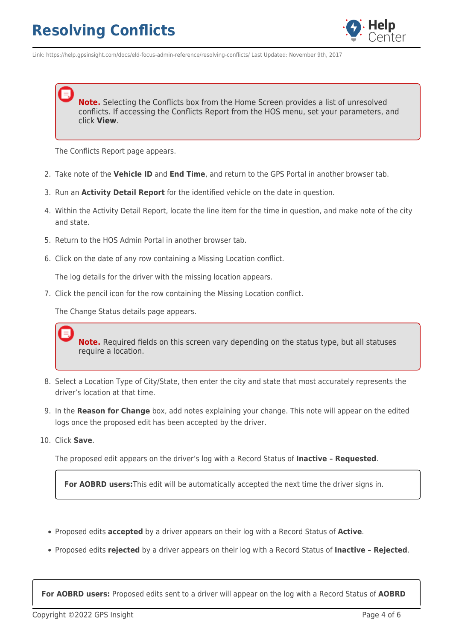

Link: https://help.gpsinsight.com/docs/eld-focus-admin-reference/resolving-conflicts/ Last Updated: November 9th, 2017

**Note.** Selecting the Conflicts box from the Home Screen provides a list of unresolved conflicts. If accessing the Conflicts Report from the HOS menu, set your parameters, and click **View**.

The Conflicts Report page appears.

- 2. Take note of the **Vehicle ID** and **End Time**, and return to the GPS Portal in another browser tab.
- 3. Run an **Activity Detail Report** for the identified vehicle on the date in question.
- 4. Within the Activity Detail Report, locate the line item for the time in question, and make note of the city and state.
- 5. Return to the HOS Admin Portal in another browser tab.
- 6. Click on the date of any row containing a Missing Location conflict.

The log details for the driver with the missing location appears.

7. Click the pencil icon for the row containing the Missing Location conflict.

The Change Status details page appears.

**Note.** Required fields on this screen vary depending on the status type, but all statuses require a location.

- 8. Select a Location Type of City/State, then enter the city and state that most accurately represents the driver's location at that time.
- 9. In the **Reason for Change** box, add notes explaining your change. This note will appear on the edited logs once the proposed edit has been accepted by the driver.
- 10. Click **Save**.

The proposed edit appears on the driver's log with a Record Status of **Inactive – Requested**.

**For AOBRD users:**This edit will be automatically accepted the next time the driver signs in.

- Proposed edits **accepted** by a driver appears on their log with a Record Status of **Active**.
- Proposed edits **rejected** by a driver appears on their log with a Record Status of **Inactive Rejected**.

**For AOBRD users:** Proposed edits sent to a driver will appear on the log with a Record Status of **AOBRD**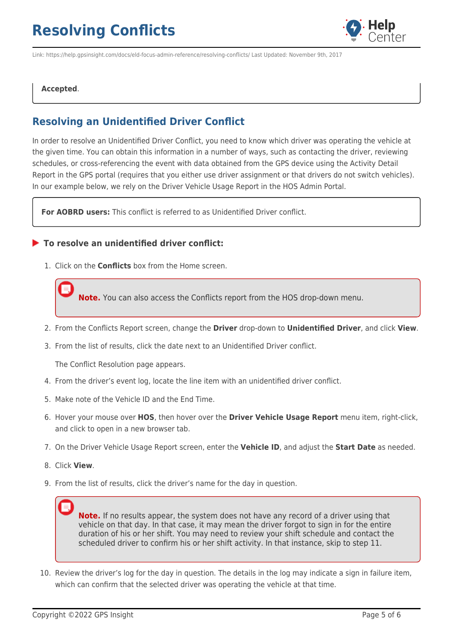

Link: https://help.gpsinsight.com/docs/eld-focus-admin-reference/resolving-conflicts/ Last Updated: November 9th, 2017

#### **Accepted**.

### **Resolving an Unidentified Driver Conflict**

In order to resolve an Unidentified Driver Conflict, you need to know which driver was operating the vehicle at the given time. You can obtain this information in a number of ways, such as contacting the driver, reviewing schedules, or cross-referencing the event with data obtained from the GPS device using the Activity Detail Report in the GPS portal (requires that you either use driver assignment or that drivers do not switch vehicles). In our example below, we rely on the Driver Vehicle Usage Report in the HOS Admin Portal.

**For AOBRD users:** This conflict is referred to as Unidentified Driver conflict.

#### **To resolve an unidentified driver conflict:**

1. Click on the **Conflicts** box from the Home screen.

**Note.** You can also access the Conflicts report from the HOS drop-down menu.

- 2. From the Conflicts Report screen, change the **Driver** drop-down to **Unidentified Driver**, and click **View**.
- 3. From the list of results, click the date next to an Unidentified Driver conflict.

The Conflict Resolution page appears.

- 4. From the driver's event log, locate the line item with an unidentified driver conflict.
- 5. Make note of the Vehicle ID and the End Time.
- 6. Hover your mouse over **HOS**, then hover over the **Driver Vehicle Usage Report** menu item, right-click, and click to open in a new browser tab.
- 7. On the Driver Vehicle Usage Report screen, enter the **Vehicle ID**, and adjust the **Start Date** as needed.
- 8. Click **View**.
- 9. From the list of results, click the driver's name for the day in question.

**Note.** If no results appear, the system does not have any record of a driver using that vehicle on that day. In that case, it may mean the driver forgot to sign in for the entire duration of his or her shift. You may need to review your shift schedule and contact the scheduled driver to confirm his or her shift activity. In that instance, skip to step 11.

10. Review the driver's log for the day in question. The details in the log may indicate a sign in failure item, which can confirm that the selected driver was operating the vehicle at that time.